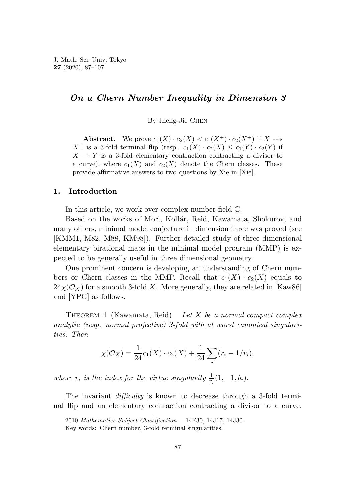# *On a Chern Number Inequality in Dimension 3*

By Jheng-Jie Chen

**Abstract.** We prove  $c_1(X) \cdot c_2(X) < c_1(X^+) \cdot c_2(X^+)$  if  $X \rightarrow Y$  $X^+$  is a 3-fold terminal flip (resp.  $c_1(X) \cdot c_2(X) \leq c_1(Y) \cdot c_2(Y)$  if  $X \rightarrow Y$  is a 3-fold elementary contraction contracting a divisor to a curve), where  $c_1(X)$  and  $c_2(X)$  denote the Chern classes. These provide affirmative answers to two questions by Xie in [Xie].

### **1. Introduction**

In this article, we work over complex number field C.

Based on the works of Mori, Kollár, Reid, Kawamata, Shokurov, and many others, minimal model conjecture in dimension three was proved (see [KMM1, M82, M88, KM98]). Further detailed study of three dimensional elementary birational maps in the minimal model program (MMP) is expected to be generally useful in three dimensional geometry.

One prominent concern is developing an understanding of Chern numbers or Chern classes in the MMP. Recall that  $c_1(X) \cdot c_2(X)$  equals to  $24\chi(\mathcal{O}_X)$  for a smooth 3-fold X. More generally, they are related in [Kaw86] and [YPG] as follows.

THEOREM 1 (Kawamata, Reid). Let *X* be a normal compact complex analytic (resp. normal projective) 3-fold with at worst canonical singularities. Then

$$
\chi(\mathcal{O}_X) = \frac{1}{24}c_1(X) \cdot c_2(X) + \frac{1}{24} \sum_i (r_i - 1/r_i),
$$

where  $r_i$  is the index for the virtue singularity  $\frac{1}{r_i}(1, -1, b_i)$ .

The invariant *difficulty* is known to decrease through a 3-fold terminal flip and an elementary contraction contracting a divisor to a curve.

<sup>2010</sup> *Mathematics Subject Classification*. 14E30, 14J17, 14J30.

Key words: Chern number, 3-fold terminal singularities.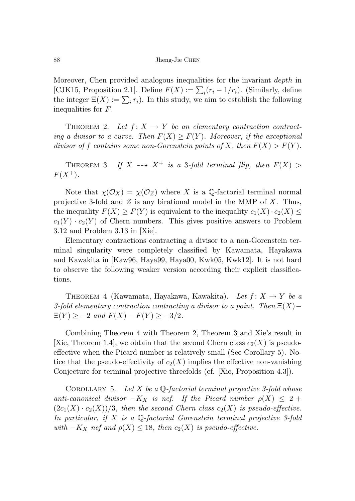Moreover, Chen provided analogous inequalities for the invariant *depth* in [CJK15, Proposition 2.1]. Define  $F(X) := \sum_i (r_i - 1/r_i)$ . (Similarly, define the integer  $\Xi(X) := \sum_i r_i$ ). In this study, we aim to establish the following inequalities for *F*.

THEOREM 2. Let  $f: X \to Y$  be an elementary contraction contracting a divisor to a curve. Then  $F(X) \geq F(Y)$ . Moreover, if the exceptional divisor of f contains some non-Gorenstein points of X, then  $F(X) > F(Y)$ .

THEOREM 3. If  $X \dashrightarrow X^+$  is a 3-fold terminal flip, then  $F(X)$  $F(X^{+})$ .

Note that  $\chi(\mathcal{O}_X) = \chi(\mathcal{O}_Z)$  where X is a Q-factorial terminal normal projective 3-fold and *Z* is any birational model in the MMP of *X*. Thus, the inequality  $F(X) \geq F(Y)$  is equivalent to the inequality  $c_1(X) \cdot c_2(X) \leq$  $c_1(Y) \cdot c_2(Y)$  of Chern numbers. This gives positive answers to Problem 3.12 and Problem 3.13 in [Xie].

Elementary contractions contracting a divisor to a non-Gorenstein terminal singularity were completely classified by Kawamata, Hayakawa and Kawakita in [Kaw96, Haya99, Haya00, Kwk05, Kwk12]. It is not hard to observe the following weaker version according their explicit classifications.

THEOREM 4 (Kawamata, Hayakawa, Kawakita). Let  $f: X \rightarrow Y$  be a 3-fold elementary contraction contracting a divisor to a point. Then Ξ(*X*)−  $\Xi(Y) \ge -2$  and  $F(X) - F(Y) \ge -3/2$ .

Combining Theorem 4 with Theorem 2, Theorem 3 and Xie's result in [Xie, Theorem 1.4], we obtain that the second Chern class  $c_2(X)$  is pseudoeffective when the Picard number is relatively small (See Corollary 5). Notice that the pseudo-effectivity of  $c_2(X)$  implies the effective non-vanishing Conjecture for terminal projective threefolds (cf. [Xie, Proposition 4.3]).

COROLLARY 5. Let  $X$  be a  $\mathbb Q$ -factorial terminal projective 3-fold whose anti-canonical divisor  $-K_X$  is nef. If the Picard number  $\rho(X) \leq 2 +$  $(2c_1(X) \cdot c_2(X))/3$ , then the second Chern class  $c_2(X)$  is pseudo-effective. In particular, if *X* is a Q-factorial Gorenstein terminal projective 3-fold with  $-K_X$  nef and  $\rho(X) \leq 18$ , then  $c_2(X)$  is pseudo-effective.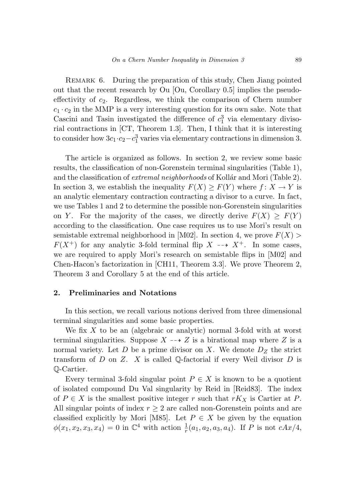REMARK 6. During the preparation of this study, Chen Jiang pointed out that the recent research by Ou [Ou, Corollary 0.5] implies the pseudoeffectivity of *c*2. Regardless, we think the comparison of Chern number  $c_1 \cdot c_2$  in the MMP is a very interesting question for its own sake. Note that Cascini and Tasin investigated the difference of  $c_1^3$  via elementary divisorial contractions in [CT, Theorem 1.3]. Then, I think that it is interesting to consider how  $3c_1 \cdot c_2 - c_1^3$  varies via elementary contractions in dimension 3.

The article is organized as follows. In section 2, we review some basic results, the classification of non-Gorenstein terminal singularities (Table 1), and the classification of *extremal neighborhoods* of Kollár and Mori (Table 2). In section 3, we establish the inequality  $F(X) \geq F(Y)$  where  $f: X \to Y$  is an analytic elementary contraction contracting a divisor to a curve. In fact, we use Tables 1 and 2 to determine the possible non-Gorenstein singularities on *Y*. For the majority of the cases, we directly derive  $F(X) \geq F(Y)$ according to the classification. One case requires us to use Mori's result on semistable extremal neighborhood in [M02]. In section 4, we prove  $F(X)$  $F(X^+)$  for any analytic 3-fold terminal flip  $X \dashrightarrow X^+$ . In some cases, we are required to apply Mori's research on semistable flips in [M02] and Chen-Hacon's factorization in [CH11, Theorem 3.3]. We prove Theorem 2, Theorem 3 and Corollary 5 at the end of this article.

## **2. Preliminaries and Notations**

In this section, we recall various notions derived from three dimensional terminal singularities and some basic properties.

We fix *X* to be an (algebraic or analytic) normal 3-fold with at worst terminal singularities. Suppose  $X \dashrightarrow Z$  is a birational map where Z is a normal variety. Let  $D$  be a prime divisor on  $X$ . We denote  $D_Z$  the strict transform of *D* on *Z*. *X* is called Q-factorial if every Weil divisor *D* is Q-Cartier.

Every terminal 3-fold singular point  $P \in X$  is known to be a quotient of isolated compound Du Val singularity by Reid in [Reid83]. The index of  $P \in X$  is the smallest positive integer  $r$  such that  $rK_X$  is Cartier at  $P$ . All singular points of index  $r \geq 2$  are called non-Gorenstein points and are classified explicitly by Mori [M85]. Let  $P \in X$  be given by the equation  $\phi(x_1, x_2, x_3, x_4) = 0$  in  $\mathbb{C}^4$  with action  $\frac{1}{r}(a_1, a_2, a_3, a_4)$ . If *P* is not *cAx/4*,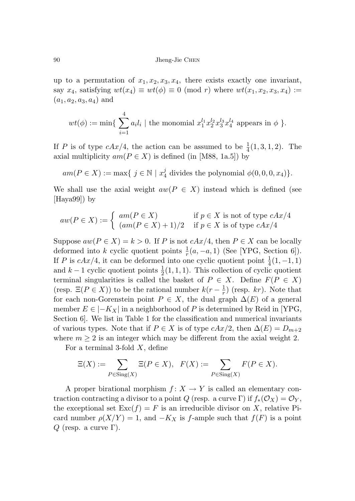up to a permutation of  $x_1, x_2, x_3, x_4$ , there exists exactly one invariant, say  $x_4$ , satisfying  $wt(x_4) \equiv wt(\phi) \equiv 0 \pmod{r}$  where  $wt(x_1, x_2, x_3, x_4) :=$  $(a_1, a_2, a_3, a_4)$  and

$$
wt(\phi) := \min \{ \sum_{i=1}^4 a_i l_i \mid \text{the monomial } x_1^{l_1} x_2^{l_2} x_3^{l_3} x_4^{l_4} \text{ appears in } \phi \}.
$$

If *P* is of type  $cAx/4$ , the action can be assumed to be  $\frac{1}{4}(1,3,1,2)$ . The axial multiplicity  $am(P \in X)$  is defined (in [M88, 1a.5]) by

 $am(P \in X) := \max\{ j \in \mathbb{N} \mid x_4^j \text{ divides the polynomial } \phi(0,0,0,x_4) \}.$ 

We shall use the axial weight  $aw(P \in X)$  instead which is defined (see [Haya99]) by

$$
aw(P \in X) := \begin{cases} am(P \in X) & \text{if } p \in X \text{ is not of type } cAx/4 \\ (am(P \in X) + 1)/2 & \text{if } p \in X \text{ is of type } cAx/4 \end{cases}
$$

Suppose  $aw(P \in X) = k > 0$ . If *P* is not  $cAx/4$ , then  $P \in X$  can be locally deformed into *k* cyclic quotient points  $\frac{1}{r}(a, -a, 1)$  (See [YPG, Section 6]). If *P* is  $cAx/4$ , it can be deformed into one cyclic quotient point  $\frac{1}{4}(1, -1, 1)$ and  $k-1$  cyclic quotient points  $\frac{1}{2}(1,1,1)$ . This collection of cyclic quotient terminal singularities is called the basket of  $P \in X$ . Define  $F(P \in X)$ (resp.  $\Xi(P \in X)$ ) to be the rational number  $k(r - \frac{1}{r})$  (resp. *kr*). Note that for each non-Gorenstein point  $P \in X$ , the dual graph  $\Delta(E)$  of a general member  $E \in |-K_X|$  in a neighborhood of P is determined by Reid in [YPG, Section 6]. We list in Table 1 for the classification and numerical invariants of various types. Note that if  $P \in X$  is of type  $cAx/2$ , then  $\Delta(E) = D_{m+2}$ where  $m \geq 2$  is an integer which may be different from the axial weight 2.

For a terminal 3-fold *X*, define

$$
\Xi(X) := \sum_{P \in \text{Sing}(X)} \Xi(P \in X), \quad F(X) := \sum_{P \in \text{Sing}(X)} F(P \in X).
$$

A proper birational morphism  $f: X \to Y$  is called an elementary contraction contracting a divisor to a point *Q* (resp. a curve Γ) if  $f_*(\mathcal{O}_X) = \mathcal{O}_Y$ , the exceptional set  $\text{Exc}(f) = F$  is an irreducible divisor on *X*, relative Picard number  $\rho(X/Y) = 1$ , and  $-K_X$  is *f*-ample such that  $f(F)$  is a point *Q* (resp. a curve Γ).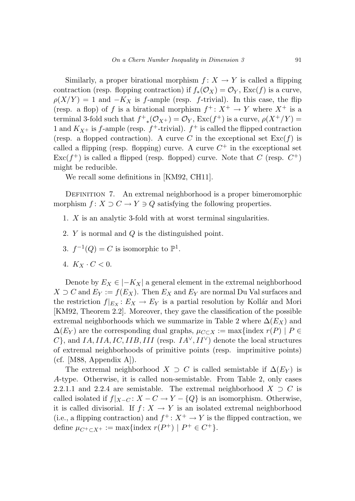Similarly, a proper birational morphism  $f: X \to Y$  is called a flipping contraction (resp. flopping contraction) if  $f_*(\mathcal{O}_X) = \mathcal{O}_Y$ ,  $\text{Exc}(f)$  is a curve,  $\rho(X/Y) = 1$  and  $-K_X$  is *f*-ample (resp. *f*-trivial). In this case, the flip (resp. a flop) of *f* is a birational morphism  $f^+ \colon X^+ \to Y$  where  $X^+$  is a terminal 3-fold such that  $f^+_{*}(\mathcal{O}_{X^+}) = \mathcal{O}_Y$ ,  $\text{Exc}(f^+)$  is a curve,  $\rho(X^+/Y) =$ 1 and  $K_{X^+}$  is *f*-ample (resp.  $f^+$ -trivial).  $f^+$  is called the flipped contraction (resp. a flopped contraction). A curve *C* in the exceptional set  $\text{Exc}(f)$  is called a flipping (resp. flopping) curve. A curve  $C^+$  in the exceptional set  $\text{Exc}(f^+)$  is called a flipped (resp. flopped) curve. Note that *C* (resp.  $C^+$ ) might be reducible.

We recall some definitions in [KM92, CH11].

DEFINITION 7. An extremal neighborhood is a proper bimeromorphic morphism  $f: X \supset C \to Y \ni Q$  satisfying the following properties.

- 1. *X* is an analytic 3-fold with at worst terminal singularities.
- 2. *Y* is normal and *Q* is the distinguished point.
- 3.  $f^{-1}(Q) = C$  is isomorphic to  $\mathbb{P}^1$ .
- 4.  $K_X \cdot C < 0$ .

Denote by  $E_X \in |-K_X|$  a general element in the extremal neighborhood *X* ⊃ *C* and  $E_Y := f(E_X)$ . Then  $E_X$  and  $E_Y$  are normal Du Val surfaces and the restriction  $f|_{E_X}: E_X \to E_Y$  is a partial resolution by Kollár and Mori [KM92, Theorem 2.2]. Moreover, they gave the classification of the possible extremal neighborhoods which we summarize in Table 2 where  $\Delta(E_X)$  and  $\Delta(E_Y)$  are the corresponding dual graphs,  $\mu_{C \subset X} := \max\{\text{index } r(P) \mid P \in$  $C$ <sup>}</sup>, and *IA, IIA, IC, IIB, III* (resp.  $IA^{\vee}, II^{\vee}$ ) denote the local structures of extremal neighborhoods of primitive points (resp. imprimitive points)  $(cf. [M88, Appendix A]).$ 

The extremal neighborhood *X* ⊃ *C* is called semistable if  $\Delta(E_Y)$  is *A*-type. Otherwise, it is called non-semistable. From Table 2, only cases 2.2.1.1 and 2.2.4 are semistable. The extremal neighborhood  $X \supset C$  is called isolated if  $f|_{X-C}$ :  $X - C \rightarrow Y - \{Q\}$  is an isomorphism. Otherwise, it is called divisorial. If  $f: X \to Y$  is an isolated extremal neighborhood (i.e., a flipping contraction) and  $f^+ : X^+ \to Y$  is the flipped contraction, we define  $\mu_{C^+ \subset X^+} := \max\{\text{index } r(P^+) \mid P^+ \in C^+\}.$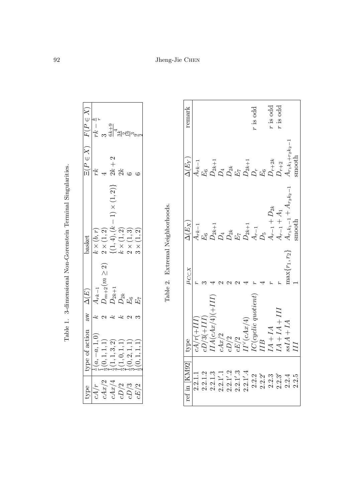| type                 | type of action                                   | $\delta$      | $\Delta(E)$        | basket                                                                             | $\Xi(P\in X)$ | $F(P\in X)$                              |
|----------------------|--------------------------------------------------|---------------|--------------------|------------------------------------------------------------------------------------|---------------|------------------------------------------|
|                      | $\frac{1}{r}(a, -a, 1, 0)$                       | ۼ             | $A_{rk-1}$         | $k \times (b,r)$                                                                   | rk.           | یو جا<br>$\overline{\phantom{a}}$<br>rk. |
| $\frac{cA/r}{cAx/2}$ | $\frac{1}{2}(0, 1, 1, 1)$                        | $\mathcal{C}$ | $D_{m+2}(m\geq 2)$ |                                                                                    |               |                                          |
| cAx/4                | $\frac{1}{4}(1, 1, 3, 2)$                        | ي<br>م        | ${\cal D}_{2k+1}$  | 2 × (1, 2)<br>{(1, 4), (k - 1) × (1, 2)}<br>k × (1, 2)<br>2 × (1, 3)<br>3 × (1, 2) | $2k+2$        | ನಿ ಹೆ <sup>4</sup> ತೆ ಸ್ವಾ               |
| $cD/2$               | $\frac{1}{2}(1,0,1,1)$<br>$\frac{1}{2}(0,2,1,1)$ | P             | $D_{2k}$           |                                                                                    | 2k            |                                          |
| cD/3                 | (0, 2, 1, 1)                                     | $\mathcal{C}$ | $E_6$              |                                                                                    |               |                                          |
| cE/2                 | $\frac{1}{2}(0,1,1,1)$                           |               | $E_7$              | (1, 2)                                                                             | Ğ             |                                          |

| )<br>֚֡֡<br>l<br>İ                                                                                                                        |
|-------------------------------------------------------------------------------------------------------------------------------------------|
|                                                                                                                                           |
| l<br>ׇ֚                                                                                                                                   |
| I                                                                                                                                         |
| l<br>֦֚֚֚֚֚֚֚֚֡֡֡֡֡֡֡<br>l                                                                                                                |
|                                                                                                                                           |
| Ì<br>j<br>ׇ֚֘֡<br>I                                                                                                                       |
|                                                                                                                                           |
| $\ddot{\phantom{a}}$<br>֖֖֖֧ׅ֧֧֧֧֚֚֚֚֚֚֚֚֚֚֚֚֚֚֚֚֚֚֚֚֚֚֚֚֚֚֚֚֚֡֝֝֬֝֓֞֝֓<br>֖֚֚֚֚֡֡֬֝<br>֖֖֖֖ׅ֧ׅ֖֖֧֚֚֚֚֚֚֚֚֚֚֚֚֚֚֚֚֚֚֚֚֚֚֚֚֚֚֚֚֚֚֚֡֬֝֬֝֓֝֬ |
| l                                                                                                                                         |
| I                                                                                                                                         |
|                                                                                                                                           |
| ۱                                                                                                                                         |
|                                                                                                                                           |
| l                                                                                                                                         |
|                                                                                                                                           |
|                                                                                                                                           |

Table 2. Extremal Neighborhoods. Table 2. Extremal Neighborhoods.

| ref in  KM92                                                                                                                                                                                                                                                             | type                                                                          | $\mu_{C\subset X}$ | $\overline{\Delta(E_X)}$                                                                                                                            | $\Delta(E_Y)$                                                                                                                                 | remark     |
|--------------------------------------------------------------------------------------------------------------------------------------------------------------------------------------------------------------------------------------------------------------------------|-------------------------------------------------------------------------------|--------------------|-----------------------------------------------------------------------------------------------------------------------------------------------------|-----------------------------------------------------------------------------------------------------------------------------------------------|------------|
| 2.2.1.1                                                                                                                                                                                                                                                                  | $L1 + 17$                                                                     |                    | $A_{rk-1}$                                                                                                                                          |                                                                                                                                               |            |
|                                                                                                                                                                                                                                                                          |                                                                               |                    |                                                                                                                                                     |                                                                                                                                               |            |
|                                                                                                                                                                                                                                                                          | $cD/3(+II) \ II A(cAx/4)(+I)$                                                 |                    |                                                                                                                                                     |                                                                                                                                               |            |
|                                                                                                                                                                                                                                                                          | cAx/2                                                                         |                    |                                                                                                                                                     |                                                                                                                                               |            |
|                                                                                                                                                                                                                                                                          | $cD/2$ $cE/2$                                                                 |                    |                                                                                                                                                     |                                                                                                                                               |            |
|                                                                                                                                                                                                                                                                          |                                                                               |                    |                                                                                                                                                     |                                                                                                                                               |            |
| $\begin{array}{ll} 2.2.1.2\\ 2.2.1.3\\ 2.3.1.3\\ 2.2.1'.2\\ 2.2.1'.2\\ 2.2.1'.3\\ 2.2.1'.3\\ 2.2.1'.4\\ 2.2.2'.4\\ 2.2.2'.4\\ 2.2.2'.4\\ 2.2.2'.5\\ 2.2.3.3\\ 2.2.3.3\\ 2.2.3.3\\ 2.2.3.3\\ 2.2.3.3\\ 2.2.3.3\\ 2.2.3.3\\ 2.2.3.3\\ 2.2.3.3\\ 2.2.3.3\\ 2.2.3.3\\ 2.2.3$ | II <sup>v</sup> (cAx/4)<br>IC(cyclic quoti<br>IIB                             |                    | $E_6$<br>$D_{2k+1}$<br>$D_{4}$<br>$D_{2k}$<br>$E_7$<br>$D_{2k+1}$<br>$A_{r-1}$<br>$A_{r-1} + D_{2k}$<br>$A_{r-1} + A_1$<br>$A_{r+1} + A_{r_2k_2-1}$ | $\begin{array}{l} A_{rk-1} \\ E_6 \\ D_{2k+1} \\ D_{-2k} \\ D_{-2k+1} \\ D_{2k+1} \\ D_{-2k+1} \\ D_{-k+2} \\ D_{r+2} \\ D_{r+1} \end{array}$ |            |
|                                                                                                                                                                                                                                                                          |                                                                               |                    |                                                                                                                                                     |                                                                                                                                               | r is odd   |
|                                                                                                                                                                                                                                                                          |                                                                               |                    |                                                                                                                                                     |                                                                                                                                               |            |
|                                                                                                                                                                                                                                                                          |                                                                               |                    |                                                                                                                                                     |                                                                                                                                               | $r$ is odd |
|                                                                                                                                                                                                                                                                          | $\begin{array}{lcl} I A + I A \\ I A + I A + III \\ ssIA + IA \\ \end{array}$ |                    |                                                                                                                                                     |                                                                                                                                               | $r$ is odd |
| 2.2.4                                                                                                                                                                                                                                                                    |                                                                               | $\max\{r_1, r_2\}$ |                                                                                                                                                     | $A_{r_1k_1+r_2k_2-1}$                                                                                                                         |            |
| 2.2.5                                                                                                                                                                                                                                                                    |                                                                               |                    | mooth                                                                                                                                               | mooth                                                                                                                                         |            |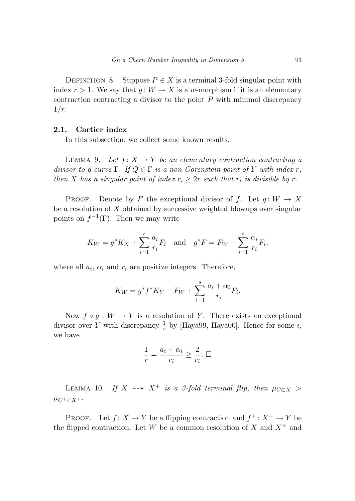DEFINITION 8. Suppose  $P \in X$  is a terminal 3-fold singular point with index  $r > 1$ . We say that  $q: W \to X$  is a *w*-morphism if it is an elementary contraction contracting a divisor to the point *P* with minimal discrepancy 1*/r*.

### **2.1. Cartier index**

In this subsection, we collect some known results.

LEMMA 9. Let  $f: X \to Y$  be an elementary contraction contracting a divisor to a curve  $\Gamma$ . If  $Q \in \Gamma$  is a non-Gorenstein point of Y with index r, then *X* has a singular point of index  $r_i \geq 2r$  such that  $r_i$  is divisible by r.

PROOF. Denote by *F* the exceptional divisor of *f*. Let  $g: W \to X$ be a resolution of *X* obtained by successive weighted blowups over singular points on  $f^{-1}(\Gamma)$ . Then we may write

$$
K_W = g^* K_X + \sum_{i=1}^s \frac{a_i}{r_i} F_i
$$
 and  $g^* F = F_W + \sum_{i=1}^s \frac{\alpha_i}{r_i} F_i$ ,

where all  $a_i$ ,  $\alpha_i$  and  $r_i$  are positive integers. Therefore,

$$
K_W = g^* f^* K_Y + F_W + \sum_{i=1}^s \frac{a_i + \alpha_i}{r_i} F_i.
$$

Now  $f \circ q : W \to Y$  is a resolution of Y. There exists an exceptional divisor over *Y* with discrepancy  $\frac{1}{r}$  by [Haya99, Haya00]. Hence for some *i*, we have

$$
\frac{1}{r} = \frac{a_i + \alpha_i}{r_i} \ge \frac{2}{r_i}.\ \Box
$$

LEMMA 10. If  $X \rightarrow X^+$  is a 3-fold terminal flip, then  $\mu_{C \subset X}$  >  $\mu_{C^+ \subset X^+}.$ 

PROOF. Let  $f: X \to Y$  be a flipping contraction and  $f^+ : X^+ \to Y$  be the flipped contraction. Let *W* be a common resolution of *X* and  $X^+$  and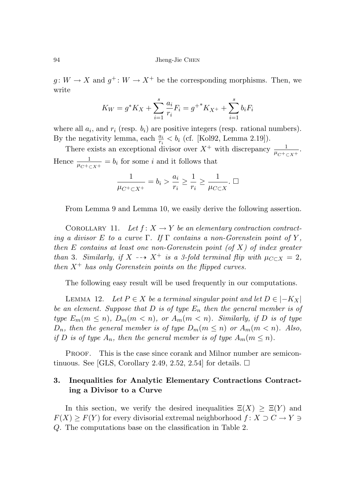$g: W \to X$  and  $g^+ : W \to X^+$  be the corresponding morphisms. Then, we write

$$
K_W = g^* K_X + \sum_{i=1}^s \frac{a_i}{r_i} F_i = g^{+*} K_{X^+} + \sum_{i=1}^s b_i F_i
$$

where all  $a_i$ , and  $r_i$  (resp.  $b_i$ ) are positive integers (resp. rational numbers). By the negativity lemma, each  $\frac{a_i}{r_i} < b_i$  (cf. [Kol92, Lemma 2.19]).

There exists an exceptional divisor over  $X^+$  with discrepancy  $\frac{1}{\mu_{C^+ \subset X^+}}$ . Hence  $\frac{1}{\mu_{C^+ \subset X^+}} = b_i$  for some *i* and it follows that

$$
\frac{1}{\mu_{C^+ \subset X^+}} = b_i > \frac{a_i}{r_i} \ge \frac{1}{r_i} \ge \frac{1}{\mu_{C \subset X}}. \ \Box
$$

From Lemma 9 and Lemma 10, we easily derive the following assertion.

COROLLARY 11. Let  $f: X \to Y$  be an elementary contraction contracting a divisor *E* to a curve  $\Gamma$ . If  $\Gamma$  contains a non-Gorenstein point of *Y*, then  $E$  contains at least one non-Gorenstein point (of  $X$ ) of index greater than 3. Similarly, if  $X \dashrightarrow X^+$  is a 3-fold terminal flip with  $\mu_{C \subset X} = 2$ , then  $X^+$  has only Gorenstein points on the flipped curves.

The following easy result will be used frequently in our computations.

LEMMA 12. Let  $P \in X$  be a terminal singular point and let  $D \in |-K_X|$ be an element. Suppose that  $D$  is of type  $E_n$  then the general member is of type  $E_m(m \leq n)$ ,  $D_m(m < n)$ , or  $A_m(m < n)$ . Similarly, if D is of type *D<sub>n</sub>*, then the general member is of type  $D_m(m \leq n)$  or  $A_m(m < n)$ . Also, if *D* is of type  $A_n$ , then the general member is of type  $A_m(m \leq n)$ .

PROOF. This is the case since corank and Milnor number are semicontinuous. See [GLS, Corollary 2.49, 2.52, 2.54] for details.  $\square$ 

# **3. Inequalities for Analytic Elementary Contractions Contracting a Divisor to a Curve**

In this section, we verify the desired inequalities  $\Xi(X) \geq \Xi(Y)$  and  $F(X) \geq F(Y)$  for every divisorial extremal neighborhood  $f: X \supset C \to Y \ni$ *Q*. The computations base on the classification in Table 2.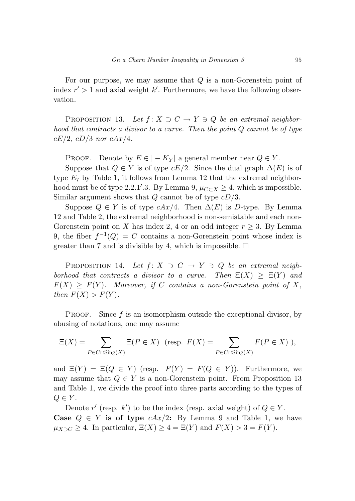For our purpose, we may assume that *Q* is a non-Gorenstein point of index  $r' > 1$  and axial weight  $k'$ . Furthermore, we have the following observation.

PROPOSITION 13. Let  $f: X \supset C \rightarrow Y \ni Q$  be an extremal neighborhood that contracts a divisor to a curve. Then the point *Q* cannot be of type *cE/*2, *cD/*3 nor *cAx/*4.

Proof. Denote by  $E \in |-K_Y|$  a general member near  $Q \in Y$ .

Suppose that  $Q \in Y$  is of type  $cE/2$ . Since the dual graph  $\Delta(E)$  is of type *E*<sup>7</sup> by Table 1, it follows from Lemma 12 that the extremal neighborhood must be of type 2.2.1'.3. By Lemma 9,  $\mu_{C \subset X} \geq 4$ , which is impossible. Similar argument shows that *Q* cannot be of type *cD/*3.

Suppose  $Q \in Y$  is of type  $cAx/4$ . Then  $\Delta(E)$  is *D*-type. By Lemma 12 and Table 2, the extremal neighborhood is non-semistable and each non-Gorenstein point on *X* has index 2, 4 or an odd integer  $r \geq 3$ . By Lemma 9, the fiber  $f^{-1}(Q) = C$  contains a non-Gorenstein point whose index is greater than 7 and is divisible by 4, which is impossible.  $\Box$ 

PROPOSITION 14. Let  $f: X \supset C \rightarrow Y \ni Q$  be an extremal neighborhood that contracts a divisor to a curve. Then  $\Xi(X) \geq \Xi(Y)$  and  $F(X) \geq F(Y)$ . Moreover, if *C* contains a non-Gorenstein point of X, then  $F(X) > F(Y)$ .

PROOF. Since  $f$  is an isomorphism outside the exceptional divisor, by abusing of notations, one may assume

$$
\Xi(X) = \sum_{P \in C \cap \text{Sing}(X)} \Xi(P \in X) \quad (\text{resp. } F(X) = \sum_{P \in C \cap \text{Sing}(X)} F(P \in X) \),
$$

and  $\Xi(Y) = \Xi(Q \in Y)$  (resp.  $F(Y) = F(Q \in Y)$ ). Furthermore, we may assume that  $Q \in Y$  is a non-Gorenstein point. From Proposition 13 and Table 1, we divide the proof into three parts according to the types of  $Q \in Y$ .

Denote  $r'$  (resp.  $k'$ ) to be the index (resp. axial weight) of  $Q \in Y$ . **Case**  $Q \in Y$  is of type  $cAx/2$ : By Lemma 9 and Table 1, we have  $\mu_{X\supset C} \geq 4$ . In particular,  $\Xi(X) \geq 4 = \Xi(Y)$  and  $F(X) > 3 = F(Y)$ .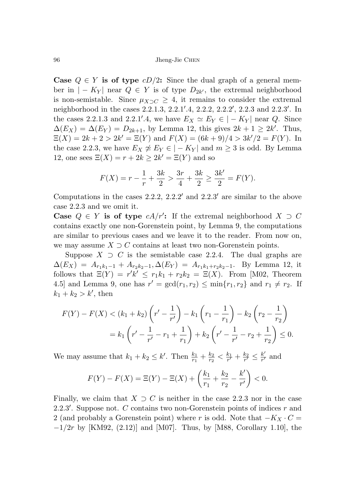**Case**  $Q \in Y$  is of type  $cD/2$ : Since the dual graph of a general member in  $|-K_Y|$  near  $Q \in Y$  is of type  $D_{2k'}$ , the extremal neighborhood is non-semistable. Since  $\mu_{X\supset C} \geq 4$ , it remains to consider the extremal neighborhood in the cases 2*.*2*.*1*.*3, 2*.*2*.*1 *.*4, 2*.*2*.*2, 2*.*2*.*2 , 2*.*2*.*3 and 2*.*2*.*3 . In the cases 2.2.1.3 and 2.2.1'.4, we have  $E_X \simeq E_Y \in |-K_Y|$  near *Q*. Since  $\Delta(E_X) = \Delta(E_Y) = D_{2k+1}$ , by Lemma 12, this gives  $2k+1 \geq 2k'$ . Thus,  $\Xi(X) = 2k + 2 > 2k' = \Xi(Y)$  and  $F(X) = (6k + 9)/4 > 3k'/2 = F(Y)$ . In the case 2.2.3, we have  $E_X \not\cong E_Y \in |-K_Y|$  and  $m \geq 3$  is odd. By Lemma 12, one sees  $\Xi(X) = r + 2k \geq 2k' = \Xi(Y)$  and so

$$
F(X) = r - \frac{1}{r} + \frac{3k}{2} > \frac{3r}{4} + \frac{3k}{2} \ge \frac{3k'}{2} = F(Y).
$$

Computations in the cases 2*.*2*.*2, 2*.*2*.*2 and 2*.*2*.*3 are similar to the above case 2*.*2*.*3 and we omit it.

**Case**  $Q \in Y$  is of type  $cA/r'$ : If the extremal neighborhood  $X \supset C$ contains exactly one non-Gorenstein point, by Lemma 9, the computations are similar to previous cases and we leave it to the reader. From now on, we may assume  $X \supset C$  contains at least two non-Gorenstein points.

Suppose  $X \supset C$  is the semistable case 2.2.4. The dual graphs are  $\Delta(E_X) = A_{r_1k_1-1} + A_{r_2k_2-1}, \Delta(E_Y) = A_{r_1k_1+r_2k_2-1}.$  By Lemma 12, it follows that  $\Xi(Y) = r'k' \leq r_1k_1 + r_2k_2 = \Xi(X)$ . From [M02, Theorem 4.5] and Lemma 9, one has  $r' = \gcd(r_1, r_2) \le \min\{r_1, r_2\}$  and  $r_1 \ne r_2$ . If  $k_1 + k_2 > k'$ , then

$$
F(Y) - F(X) < (k_1 + k_2) \left( r' - \frac{1}{r'} \right) - k_1 \left( r_1 - \frac{1}{r_1} \right) - k_2 \left( r_2 - \frac{1}{r_2} \right)
$$
\n
$$
= k_1 \left( r' - \frac{1}{r'} - r_1 + \frac{1}{r_1} \right) + k_2 \left( r' - \frac{1}{r'} - r_2 + \frac{1}{r_2} \right) \le 0.
$$

We may assume that  $k_1 + k_2 \leq k'$ . Then  $\frac{k_1}{r_1} + \frac{k_2}{r_2} < \frac{k_1}{r'} + \frac{k_2}{r'} \leq \frac{k'}{r'}$  and

$$
F(Y) - F(X) = \Xi(Y) - \Xi(X) + \left(\frac{k_1}{r_1} + \frac{k_2}{r_2} - \frac{k'}{r'}\right) < 0.
$$

Finally, we claim that  $X \supset C$  is neither in the case 2.2.3 nor in the case 2*.*2*.*3 . Suppose not. *C* contains two non-Gorenstein points of indices *r* and 2 (and probably a Gorenstein point) where *r* is odd. Note that  $-K_X \cdot C =$ −1*/*2*r* by [KM92, (2.12)] and [M07]. Thus, by [M88, Corollary 1.10], the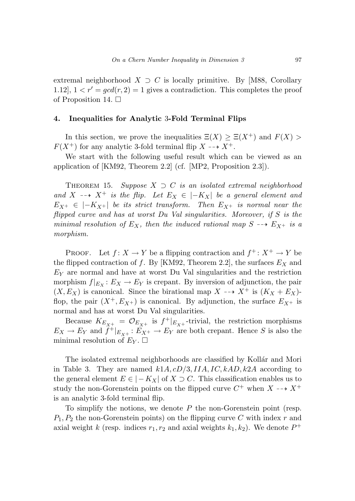extremal neighborhood  $X \supset C$  is locally primitive. By [M88, Corollary 1.12],  $1 < r' = \gcd(r, 2) = 1$  gives a contradiction. This completes the proof of Proposition 14.  $\Box$ 

#### **4. Inequalities for Analytic** 3**-Fold Terminal Flips**

In this section, we prove the inequalities  $\Xi(X) \geq \Xi(X^+)$  and  $F(X)$  $F(X^+)$  for any analytic 3-fold terminal flip  $X \dashrightarrow X^+$ .

We start with the following useful result which can be viewed as an application of [KM92, Theorem 2.2] (cf. [MP2, Proposition 2.3]).

THEOREM 15. Suppose  $X \supset C$  is an isolated extremal neighborhood and *X* -- $\rightarrow$  *X*<sup>+</sup> is the flip. Let  $E_X \in |-K_X|$  be a general element and  $E_{X^+} \in |-K_{X^+}|$  be its strict transform. Then  $E_{X^+}$  is normal near the flipped curve and has at worst Du Val singularities. Moreover, if *S* is the minimal resolution of  $E_X$ , then the induced rational map  $S \dashrightarrow E_{X^+}$  is a morphism.

PROOF. Let  $f: X \to Y$  be a flipping contraction and  $f^+ : X^+ \to Y$  be the flipped contraction of *f*. By [KM92, Theorem 2.2], the surfaces  $E_X$  and *E<sup>Y</sup>* are normal and have at worst Du Val singularities and the restriction morphism  $f|_{E_X}: E_X \to E_Y$  is crepant. By inversion of adjunction, the pair  $(X, E_X)$  is canonical. Since the birational map  $X \dashrightarrow X^+$  is  $(K_X + E_X)$ flop, the pair  $(X^+, E_{X^+})$  is canonical. By adjunction, the surface  $E_{X^+}$  is normal and has at worst Du Val singularities.

Because  $K_{E_{X^+}} = \mathcal{O}_{E_{X^+}}$  is  $f^+|_{E_{X^+}}$ -trivial, the restriction morphisms  $E_X \to E_Y$  and  $\ddot{f}^+|_{E_{X^+}}: E_{X^+} \to E_Y$  are both crepant. Hence *S* is also the minimal resolution of  $E_Y$ .  $\Box$ 

The isolated extremal neighborhoods are classified by Kollár and Mori in Table 3. They are named  $k1A, cD/3, IIA, IC, kAD, k2A$  according to the general element  $E \in |-K_X|$  of  $X \supset C$ . This classification enables us to study the non-Gorenstein points on the flipped curve  $C^+$  when  $X \dashrightarrow X^+$ is an analytic 3-fold terminal flip.

To simplify the notions, we denote *P* the non-Gorenstein point (resp. *P*1*, P*<sup>2</sup> the non-Gorenstein points) on the flipping curve *C* with index *r* and axial weight *k* (resp. indices  $r_1, r_2$  and axial weights  $k_1, k_2$ ). We denote  $P^+$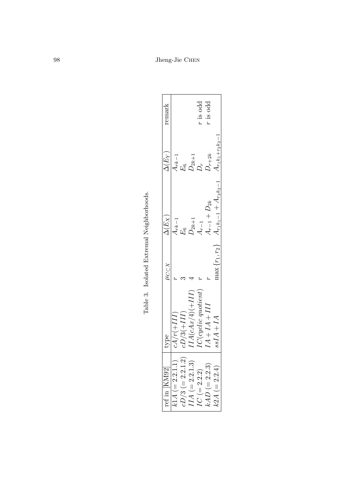| remark             |                   |                    |                     | $r$ is odd             | $r$ is odd         |                                                   |
|--------------------|-------------------|--------------------|---------------------|------------------------|--------------------|---------------------------------------------------|
| $\Delta(E_Y)$      | $Ark-1$           |                    | $E_6$<br>$D_{2k+1}$ | $\mathcal{Q}^*$        | $D_{r+2k}$         |                                                   |
| $\Delta(E_X)$      | $Ark-1$           |                    | $E_6$<br>$D_{2k+1}$ | $4_{r-1}$              | $A_{r-1} + D_{2k}$ | $A_{r_1k_1-1}+A_{r_2k_2-1}$ $A_{r_1k_1+r_2k_2-1}$ |
| $\mu_{C\subset X}$ |                   |                    |                     |                        |                    | $\max\{r_1,r_2\}$                                 |
| type               | $cA/r(+III)$      | $(D/3(+III))$      | $IIA(cAx/4)(+III)$  | $IC(cyclic\ quotient)$ | $I1 + I4 + III$    | $sIAA+IA$                                         |
| ref in [KM92]      | $k1A (= 2.2.1.1)$ | $cD/3 (= 2.2.1.2)$ | $IIA (= 2.2.1.3)$   | $IC (= 2.2.2)$         | $kAD (= 2.2.3)$    | $k2A (= 2.2.4)$                                   |

Table 3. Isolated Extremal Neighborhoods. Table 3. Isolated Extremal Neighborhoods.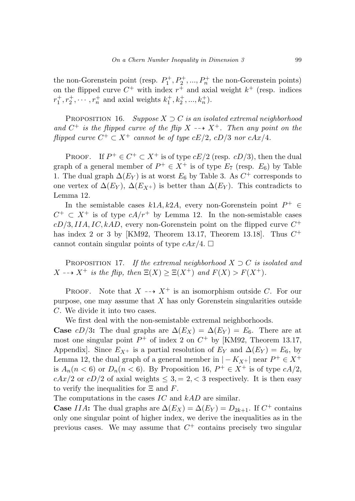the non-Gorenstein point (resp.  $P_1^+, P_2^+, ..., P_n^+$  the non-Gorenstein points) on the flipped curve  $C^+$  with index  $r^+$  and axial weight  $k^+$  (resp. indices  $r_1^+, r_2^+, \cdots, r_n^+$  and axial weights  $k_1^+, k_2^+, ..., k_n^+$ .

PROPOSITION 16. Suppose  $X \supset C$  is an isolated extremal neighborhood and  $C^+$  is the flipped curve of the flip  $X \dashrightarrow X^+$ . Then any point on the flipped curve  $C^+ \subset X^+$  cannot be of type  $cE/2$ ,  $cD/3$  nor  $cAx/4$ .

PROOF. If  $P^+ \in C^+ \subset X^+$  is of type  $cE/2$  (resp.  $cD/3$ ), then the dual graph of a general member of  $P^+ \in X^+$  is of type  $E_7$  (resp.  $E_6$ ) by Table 1. The dual graph  $\Delta(E_Y)$  is at worst  $E_6$  by Table 3. As  $C^+$  corresponds to one vertex of  $\Delta(E_Y)$ ,  $\Delta(E_{X^+})$  is better than  $\Delta(E_Y)$ . This contradicts to Lemma 12.

In the semistable cases  $k1A, k2A$ , every non-Gorenstein point  $P^+ \in$  $C^+ \subset X^+$  is of type  $cA/r^+$  by Lemma 12. In the non-semistable cases  $cD/3, IIA, IC, kAD$ , every non-Gorenstein point on the flipped curve  $C^+$ has index 2 or 3 by [KM92, Theorem 13.17, Theorem 13.18]. Thus *C*<sup>+</sup> cannot contain singular points of type  $cAx/4$ .  $\Box$ 

PROPOSITION 17. If the extremal neighborhood  $X \supset C$  is isolated and *X* - - > *X*<sup>+</sup> is the flip, then  $\Xi(X) \geq \Xi(X^+)$  and  $F(X) > F(X^+)$ .

**PROOF.** Note that  $X \dashrightarrow X^+$  is an isomorphism outside *C*. For our purpose, one may assume that *X* has only Gorenstein singularities outside *C*. We divide it into two cases.

We first deal with the non-semistable extremal neighborhoods.

**Case**  $cD/3$ : The dual graphs are  $\Delta(E_X) = \Delta(E_Y) = E_6$ . There are at most one singular point  $P^+$  of index 2 on  $C^+$  by [KM92, Theorem 13.17, Appendix]. Since  $E_{X^+}$  is a partial resolution of  $E_Y$  and  $\Delta(E_Y) = E_6$ , by Lemma 12, the dual graph of a general member in  $|-K_{X+}|$  near  $P^+ \in X^+$ is  $A_n(n < 6)$  or  $D_n(n < 6)$ . By Proposition 16,  $P^+ \in X^+$  is of type  $cA/2$ ,  $cAx/2$  or  $cD/2$  of axial weights  $\leq 3, = 2, < 3$  respectively. It is then easy to verify the inequalities for Ξ and *F*.

The computations in the cases *IC* and *kAD* are similar.

**Case** *IIA***:** The dual graphs are  $\Delta(E_X) = \Delta(E_Y) = D_{2k+1}$ . If  $C^+$  contains only one singular point of higher index, we derive the inequalities as in the previous cases. We may assume that  $C^+$  contains precisely two singular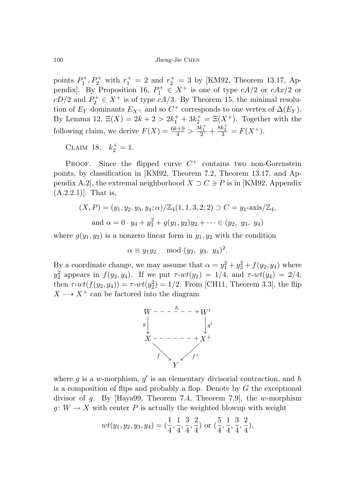points  $P_1^+, P_2^+$  with  $r_1^+ = 2$  and  $r_2^+ = 3$  by [KM92, Theorem 13.17, Appendix]. By Proposition 16,  $P_1^+ \in X^+$  is one of type  $cA/2$  or  $cAx/2$  or  $cD/2$  and  $P_2^+ \in X^+$  is of type  $cA/3$ . By Theorem 15, the minimal resolution of  $E_Y$  dominants  $E_{X^+}$  and so  $C^+$  corresponds to one vertex of  $\Delta(E_Y)$ . By Lemma 12,  $\Xi(X) = 2k + 2 > 2k_1^+ + 3k_2^+ = \Xi(X^+)$ . Together with the following claim, we derive  $F(X) = \frac{6k+9}{4} > \frac{3k_1^+}{2} + \frac{8k_2^+}{3} = F(X^+).$ 

CLAIM 18.  $k_2^+ = 1$ .

PROOF. Since the flipped curve  $C^+$  contains two non-Gorenstein points, by classification in [KM92, Theorem 7.2, Theorem 13.17, and Appendix A.2, the extremal neighborhood  $X \supset C \ni P$  is in [KM92, Appendix (A.2.2.1)]. That is,

$$
(X, P) = (y_1, y_2, y_3, y_4; \alpha) / \mathbb{Z}_4(1, 1, 3, 2; 2) \supset C = y_1 \text{-axis}/\mathbb{Z}_4,
$$
  
and  $\alpha = 0 \cdot y_4 + y_3^2 + g(y_1, y_2)y_2 + \cdots \in (y_2, y_3, y_4)$ 

where  $g(y_1, y_2)$  is a nonzero linear form in  $y_1, y_2$  with the condition

$$
\alpha \equiv y_1 y_2 \mod (y_2, y_3, y_4)^2.
$$

By a coordinate change, we may assume that  $\alpha = y_1^2 + y_3^2 + f(y_2, y_4)$  where  $y_2^2$  appears in  $f(y_2, y_4)$ . If we put  $\tau$ - $wt(y_2) = 1/4$ , and  $\tau$ - $wt(y_4) = 2/4$ , then  $\tau$ - $wt(f(y_2, y_4)) = \tau$ - $wt(y_2^2) = 1/2$ . From [CH11, Theorem 3.3], the flip  $X \dashrightarrow X^+$  can be factored into the diagram



where  $g$  is a *w*-morphism,  $g'$  is an elementary divisorial contraction, and  $h$ is a composition of flips and probably a flop. Denote by *G* the exceptional divisor of *g*. By [Haya99, Theorem 7.4, Theorem 7.9], the *w*-morphism  $g: W \to X$  with center *P* is actually the weighted blowup with weight

$$
wt(y_1,y_2,y_3,y_4)=(\frac{1}{4},\frac{1}{4},\frac{3}{4},\frac{2}{4})\,\,\text{or}\,\,(\frac{5}{4},\frac{1}{4},\frac{3}{4},\frac{2}{4}),
$$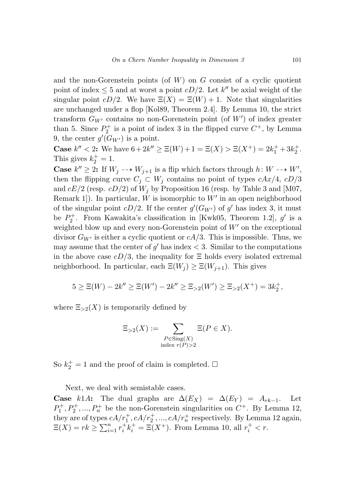and the non-Gorenstein points (of *W*) on *G* consist of a cyclic quotient point of index  $\leq 5$  and at worst a point *cD/*2. Let *k''* be axial weight of the singular point  $cD/2$ . We have  $\Xi(X) = \Xi(W) + 1$ . Note that singularities are unchanged under a flop [Kol89, Theorem 2.4]. By Lemma 10, the strict transform *GW*- contains no non-Gorenstein point (of *W* ) of index greater than 5. Since  $P_2^+$  is a point of index 3 in the flipped curve  $C^+$ , by Lemma 9, the center  $g'(G_{W'})$  is a point.

**Case**  $k'' < 2$ : We have  $6 + 2k'' \ge \Xi(W) + 1 = \Xi(X) > \Xi(X^+) = 2k_1^+ + 3k_2^+$ . This gives  $k_2^+ = 1$ .

**Case**  $k'' \geq 2$ : If  $W_j \longrightarrow W_{j+1}$  is a flip which factors through  $h: W \longrightarrow W'$ , then the flipping curve  $C_j \subset W_j$  contains no point of types  $cAx/4$ ,  $cD/3$ and  $cE/2$  (resp.  $cD/2$ ) of  $W_j$  by Proposition 16 (resp. by Table 3 and [M07, Remark 1]). In particular, *W* is isomorphic to *W* in an open neighborhood of the singular point  $cD/2$ . If the center  $g'(G_{W'})$  of  $g'$  has index 3, it must be  $P_2^+$ . From Kawakita's classification in [Kwk05, Theorem 1.2],  $g'$  is a weighted blow up and every non-Gorenstein point of  $W'$  on the exceptional divisor  $G_{W'}$  is either a cyclic quotient or  $cA/3$ . This is impossible. Thus, we may assume that the center of  $g'$  has index  $<$  3. Similar to the computations in the above case  $cD/3$ , the inequality for  $\Xi$  holds every isolated extremal neighborhood. In particular, each  $\Xi(W_j) \geq \Xi(W_{j+1})$ . This gives

$$
5 \geq \Xi(W) - 2k'' \geq \Xi(W') - 2k'' \geq \Xi_{>2}(W') \geq \Xi_{>2}(X^+) = 3k_2^+,
$$

where  $\Xi_{>2}(X)$  is temporarily defined by

$$
\Xi_{>2}(X) := \sum_{\substack{P \in \text{Sing}(X) \\ \text{index } r(P) > 2}} \Xi(P \in X).
$$

So  $k_2^+ = 1$  and the proof of claim is completed.  $\square$ 

Next, we deal with semistable cases.

**Case** *k*1*A***:** The dual graphs are  $\Delta(E_X) = \Delta(E_Y) = A_{rk-1}$ . Let  $P_1^+, P_2^+, ..., P_n^+$  be the non-Gorenstein singularities on  $C^+$ . By Lemma 12, they are of types  $cA/r_1^+, cA/r_2^+, ..., cA/r_n^+$  respectively. By Lemma 12 again,  $E(X) = rk \ge \sum_{i=1}^{n} r_i^+ k_i^+ = \Xi(X^+)$ . From Lemma 10, all  $r_i^+ < r$ .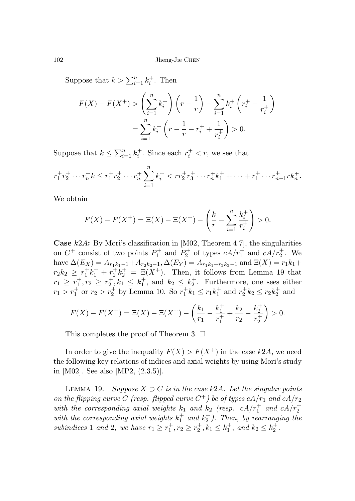Suppose that  $k > \sum_{i=1}^{n} k_i^+$ . Then

$$
F(X) - F(X^+) > \left(\sum_{i=1}^n k_i^+\right) \left(r - \frac{1}{r}\right) - \sum_{i=1}^n k_i^+ \left(r_i^+ - \frac{1}{r_i^+}\right)
$$
  
= 
$$
\sum_{i=1}^n k_i^+ \left(r - \frac{1}{r} - r_i^+ + \frac{1}{r_i^+}\right) > 0.
$$

Suppose that  $k \leq \sum_{i=1}^{n} k_i^+$ . Since each  $r_i^+ < r$ , we see that

$$
r_1^+ r_2^+ \cdots r_n^+ k \le r_1^+ r_2^+ \cdots r_n^+ \sum_{i=1}^n k_i^+ < r r_2^+ r_3^+ \cdots r_n^+ k_1^+ + \cdots + r_1^+ \cdots r_{n-1}^+ r_n^+.
$$

We obtain

$$
F(X) - F(X^{+}) = \Xi(X) - \Xi(X^{+}) - \left(\frac{k}{r} - \sum_{i=1}^{n} \frac{k_{i}^{+}}{r_{i}^{+}}\right) > 0.
$$

**Case** *k*2*A***:** By Mori's classification in [M02, Theorem 4.7], the singularities on  $C^+$  consist of two points  $P_1^+$  and  $P_2^+$  of types  $cA/r_1^+$  and  $cA/r_2^+$ . We  $h$ ave  $\Delta(E_X) = A_{r_1k_1-1} + A_{r_2k_2-1}, \Delta(E_Y) = A_{r_1k_1+r_2k_2-1}$  and  $\Xi(X) = r_1k_1+$  $r_2 k_2 \geq r_1^+ k_1^+ + r_2^+ k_2^+ = \Xi(X^+).$  Then, it follows from Lemma 19 that  $r_1 \geq r_1^+, r_2 \geq r_2^+, k_1 \leq k_1^+,$  and  $k_2 \leq k_2^+$ . Furthermore, one sees either  $r_1 > r_1^{\perp}$  or  $r_2 > r_2^{\perp}$  by Lemma 10. So  $r_1^{\perp}k_1 \le r_1k_1^{\perp}$  and  $r_2^{\perp}k_2 \le r_2k_2^{\perp}$  and

$$
F(X) - F(X^{+}) = \Xi(X) - \Xi(X^{+}) - \left(\frac{k_1}{r_1} - \frac{k_1^{+}}{r_1^{+}} + \frac{k_2}{r_2} - \frac{k_2^{+}}{r_2^{+}}\right) > 0.
$$

This completes the proof of Theorem 3.  $\Box$ 

In order to give the inequality  $F(X) > F(X^+)$  in the case  $k2A$ , we need the following key relations of indices and axial weights by using Mori's study in [M02]. See also [MP2, (2.3.5)].

LEMMA 19. Suppose  $X \supset C$  is in the case k2A. Let the singular points on the flipping curve *C* (resp. flipped curve  $C^+$ ) be of types  $cA/r_1$  and  $cA/r_2$ with the corresponding axial weights  $k_1$  and  $k_2$  (resp.  $cA/r_1^+$  and  $cA/r_2^+$ ) with the corresponding axial weights  $k_1^+$  and  $k_2^+$ ). Then, by rearranging the subindices 1 and 2, we have  $r_1 \geq r_1^+, r_2 \geq r_2^+, k_1 \leq k_1^+,$  and  $k_2 \leq k_2^+$ .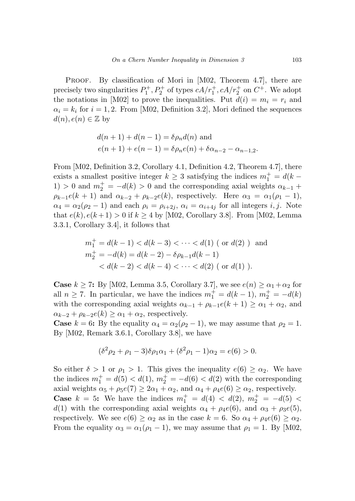PROOF. By classification of Mori in [M02, Theorem 4.7], there are precisely two singularities  $P_1^+, P_2^+$  of types  $cA/r_1^+, cA/r_2^+$  on  $C^+$ . We adopt the notations in [M02] to prove the inequalities. Put  $d(i) = m_i = r_i$  and  $\alpha_i = k_i$  for  $i = 1, 2$ . From [M02, Definition 3.2], Mori defined the sequences  $d(n), e(n) \in \mathbb{Z}$  by

$$
d(n + 1) + d(n - 1) = \delta \rho_n d(n)
$$
 and  

$$
e(n + 1) + e(n - 1) = \delta \rho_n e(n) + \delta \alpha_{n-2} - \alpha_{n-1,2}.
$$

From [M02, Definition 3.2, Corollary 4.1, Definition 4.2, Theorem 4.7], there exists a smallest positive integer  $k \geq 3$  satisfying the indices  $m_1^+ = d(k - 1)$ 1) > 0 and  $m_2^+ = -d(k) > 0$  and the corresponding axial weights  $\alpha_{k-1}$  +  $\rho_{k-1}e(k+1)$  and  $\alpha_{k-2} + \rho_{k-2}e(k)$ , respectively. Here  $\alpha_3 = \alpha_1(\rho_1 - 1)$ ,  $\alpha_4 = \alpha_2(\rho_2 - 1)$  and each  $\rho_i = \rho_{i+2j}, \alpha_i = \alpha_{i+4j}$  for all integers *i, j*. Note that  $e(k)$ ,  $e(k+1) > 0$  if  $k \ge 4$  by [M02, Corollary 3.8]. From [M02, Lemma 3.3.1, Corollary 3.4], it follows that

$$
m_1^+ = d(k - 1) < d(k - 3) < \cdots < d(1) \text{ (or } d(2) \text{ ) and}
$$
\n
$$
m_2^+ = -d(k) = d(k - 2) - \delta \rho_{k-1} d(k - 1)
$$
\n
$$
< d(k - 2) < d(k - 4) < \cdots < d(2) \text{ (or } d(1) \text{ ).}
$$

**Case**  $k \ge 7$ : By [M02, Lemma 3.5, Corollary 3.7], we see  $e(n) \ge \alpha_1 + \alpha_2$  for all  $n \ge 7$ . In particular, we have the indices  $m_1^+ = d(k-1)$ ,  $m_2^+ = -d(k)$ with the corresponding axial weights  $\alpha_{k-1} + \rho_{k-1}e(k+1) \geq \alpha_1 + \alpha_2$ , and  $\alpha_{k-2} + \rho_{k-2}e(k) \geq \alpha_1 + \alpha_2$ , respectively.

**Case**  $k = 6$ : By the equality  $\alpha_4 = \alpha_2(\rho_2 - 1)$ , we may assume that  $\rho_2 = 1$ . By [M02, Remark 3.6.1, Corollary 3.8], we have

$$
(\delta^2 \rho_2 + \rho_1 - 3)\delta \rho_1 \alpha_1 + (\delta^2 \rho_1 - 1)\alpha_2 = e(6) > 0.
$$

So either  $\delta > 1$  or  $\rho_1 > 1$ . This gives the inequality  $e(6) \geq \alpha_2$ . We have the indices  $m_1^+ = d(5) < d(1), m_2^+ = -d(6) < d(2)$  with the corresponding axial weights  $\alpha_5 + \rho_5 e(7) \geq 2\alpha_1 + \alpha_2$ , and  $\alpha_4 + \rho_4 e(6) \geq \alpha_2$ , respectively. **Case**  $k = 5$ : We have the indices  $m_1^+ = d(4) < d(2), m_2^+ = -d(5) <$ *d*(1) with the corresponding axial weights  $\alpha_4 + \rho_4e(6)$ , and  $\alpha_3 + \rho_3e(5)$ , respectively. We see  $e(6) \ge \alpha_2$  as in the case  $k = 6$ . So  $\alpha_4 + \rho_4 e(6) \ge \alpha_2$ . From the equality  $\alpha_3 = \alpha_1(\rho_1 - 1)$ , we may assume that  $\rho_1 = 1$ . By [M02,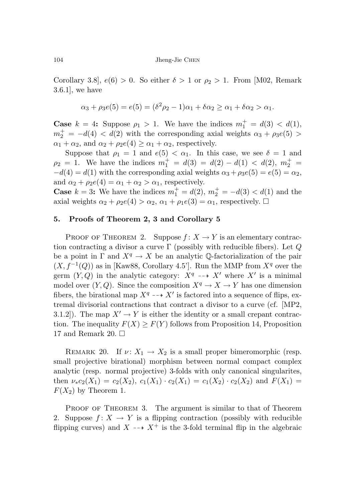Corollary 3.8,  $e(6) > 0$ . So either  $\delta > 1$  or  $\rho_2 > 1$ . From [M02, Remark 3.6.1], we have

$$
\alpha_3 + \rho_3 e(5) = e(5) = (\delta^2 \rho_2 - 1)\alpha_1 + \delta \alpha_2 \ge \alpha_1 + \delta \alpha_2 > \alpha_1.
$$

**Case**  $k = 4$ : Suppose  $\rho_1 > 1$ . We have the indices  $m_1^+ = d(3) < d(1)$ ,  $m_2^+ = -d(4) < d(2)$  with the corresponding axial weights  $\alpha_3 + \rho_3 e(5)$  $\alpha_1 + \alpha_2$ , and  $\alpha_2 + \rho_2 e(4) \geq \alpha_1 + \alpha_2$ , respectively.

Suppose that  $\rho_1 = 1$  and  $e(5) < \alpha_1$ . In this case, we see  $\delta = 1$  and  $\rho_2 = 1$ . We have the indices  $m_1^+ = d(3) = d(2) - d(1) < d(2), m_2^+ =$  $-d(4) = d(1)$  with the corresponding axial weights  $\alpha_3 + \rho_3 e(5) = e(5) = \alpha_2$ , and  $\alpha_2 + \rho_2 e(4) = \alpha_1 + \alpha_2 > \alpha_1$ , respectively.

**Case**  $k = 3$ : We have the indices  $m_1^+ = d(2), m_2^+ = -d(3) < d(1)$  and the axial weights  $\alpha_2 + \rho_2 e(4) > \alpha_2$ ,  $\alpha_1 + \rho_1 e(3) = \alpha_1$ , respectively.  $\Box$ 

## **5. Proofs of Theorem 2, 3 and Corollary 5**

PROOF OF THEOREM 2. Suppose  $f: X \to Y$  is an elementary contraction contracting a divisor a curve Γ (possibly with reducible fibers). Let *Q* be a point in  $\Gamma$  and  $X^q \to X$  be an analytic Q-factorialization of the pair  $(X, f^{-1}(Q))$  as in [Kaw88, Corollary 4.5']. Run the MMP from  $X^q$  over the germ  $(Y, Q)$  in the analytic category:  $X^q \dashrightarrow X'$  where  $X'$  is a minimal model over  $(Y, Q)$ . Since the composition  $X^q \to X \to Y$  has one dimension fibers, the birational map  $X^q \dashrightarrow X'$  is factored into a sequence of flips, extremal divisorial contractions that contract a divisor to a curve (cf. [MP2, 3.1.2]). The map  $X' \to Y$  is either the identity or a small crepant contraction. The inequality  $F(X) \geq F(Y)$  follows from Proposition 14, Proposition 17 and Remark 20.  $\Box$ 

REMARK 20. If  $\nu: X_1 \to X_2$  is a small proper bimeromorphic (resp. small projective birational) morphism between normal compact complex analytic (resp. normal projective) 3-folds with only canonical singularites, then  $\nu_*c_2(X_1) = c_2(X_2), c_1(X_1) \cdot c_2(X_1) = c_1(X_2) \cdot c_2(X_2)$  and  $F(X_1) =$  $F(X_2)$  by Theorem 1.

PROOF OF THEOREM 3. The argument is similar to that of Theorem 2. Suppose  $f: X \to Y$  is a flipping contraction (possibly with reducible flipping curves) and  $X \dashrightarrow X^+$  is the 3-fold terminal flip in the algebraic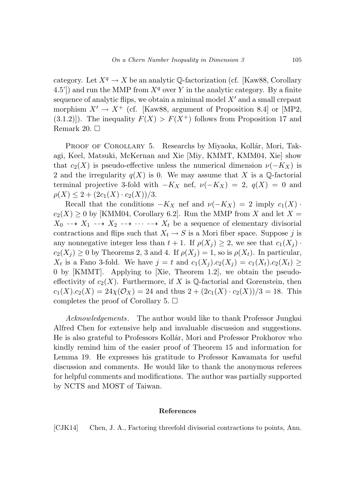category. Let  $X^q \to X$  be an analytic Q-factorization (cf. [Kaw88, Corollary 4.5']) and run the MMP from  $X^q$  over *Y* in the analytic category. By a finite sequence of analytic flips, we obtain a minimal model  $X'$  and a small crepant morphism  $X' \to X^+$  (cf. [Kaw88, argument of Proposition 8.4] or [MP2,  $(3.1.2)$ ]). The inequality  $F(X) > F(X^+)$  follows from Proposition 17 and Remark 20.  $\Box$ 

PROOF OF COROLLARY 5. Researchs by Miyaoka, Kollár, Mori, Takagi, Keel, Matsuki, McKernan and Xie [Miy, KMMT, KMM04, Xie] show that  $c_2(X)$  is pseudo-effective unless the numerical dimension  $\nu(-K_X)$  is 2 and the irregularity  $q(X)$  is 0. We may assume that X is a  $\mathbb{Q}$ -factorial terminal projective 3-fold with  $-K_X$  nef,  $\nu(-K_X) = 2$ ,  $q(X) = 0$  and  $\rho(X) \leq 2 + (2c_1(X) \cdot c_2(X))/3.$ 

Recall that the conditions  $-K_X$  nef and  $\nu(-K_X) = 2$  imply  $c_1(X)$ .  $c_2(X) \geq 0$  by [KMM04, Corollary 6.2]. Run the MMP from *X* and let  $X =$  $X_0 \dashrightarrow X_1 \dashrightarrow X_2 \dashrightarrow \cdots \dashrightarrow X_t$  be a sequence of elementary divisorial contractions and flips such that  $X_t \to S$  is a Mori fiber space. Suppose *j* is any nonnegative integer less than  $t + 1$ . If  $\rho(X_i) \geq 2$ , we see that  $c_1(X_i)$ .  $c_2(X_j) \geq 0$  by Theorems 2, 3 and 4. If  $\rho(X_j) = 1$ , so is  $\rho(X_t)$ . In particular, *X*<sup>t</sup> is a Fano 3-fold. We have  $j = t$  and  $c_1(X_j) . c_2(X_j) = c_1(X_i) . c_2(X_i) \ge$ 0 by [KMMT]. Applying to [Xie, Theorem 1.2], we obtain the pseudoeffectivity of  $c_2(X)$ . Furthermore, if X is Q-factorial and Gorenstein, then  $c_1(X) c_2(X) = 24\chi(\mathcal{O}_X) = 24$  and thus  $2 + (2c_1(X) \cdot c_2(X))/3 = 18$ . This completes the proof of Corollary 5.  $\Box$ 

Acknowledgements. The author would like to thank Professor Jungkai Alfred Chen for extensive help and invaluable discussion and suggestions. He is also grateful to Professors Kollár, Mori and Professor Prokhorov who kindly remind him of the easier proof of Theorem 15 and information for Lemma 19. He expresses his gratitude to Professor Kawamata for useful discussion and comments. He would like to thank the anonymous referees for helpful comments and modifications. The author was partially supported by NCTS and MOST of Taiwan.

#### **References**

[CJK14] Chen, J. A., Factoring threefold divisorial contractions to points, Ann.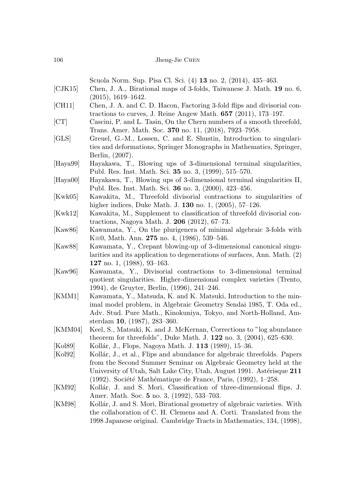Scuola Norm. Sup. Pisa Cl. Sci. (4) **13** no. 2, (2014), 435–463. [CJK15] Chen, J. A., Birational maps of 3-folds, Taiwanese J. Math. **19** no. 6, (2015), 1619–1642. [CH11] Chen, J. A. and C. D. Hacon, Factoring 3-fold flips and divisorial contractions to curves, J. Reine Angew Math. **657** (2011), 173–197. [CT] Cascini, P. and L. Tasin, On the Chern numbers of a smooth threefold, Trans. Amer. Math. Soc. **370** no. 11, (2018), 7923–7958. [GLS] Greuel, G.-M., Lossen, C. and E. Shustin, Introduction to singularities and deformations, Springer Monographs in Mathematics, Springer, Berlin, (2007). [Haya99] Hayakawa, T., Blowing ups of 3-dimensional terminal singularities, Publ. Res. Inst. Math. Sci. **35** no. 3, (1999), 515–570. [Haya00] Hayakawa, T., Blowing ups of 3-dimensional terminal singularities II, Publ. Res. Inst. Math. Sci. **36** no. 3, (2000), 423–456. [Kwk05] Kawakita, M., Threefold divisorial contractions to singularities of higher indices, Duke Math. J. **130** no. 1, (2005), 57–126. [Kwk12] Kawakita, M., Supplement to classification of threefold divisorial contractions, Nagoya Math. J. **206** (2012), 67–73. [Kaw86] Kawamata, Y., On the plurigenera of minimal algebraic 3-folds with K≡0, Math. Ann. **275** no. 4, (1986), 539–546. [Kaw88] Kawamata, Y., Crepant blowing-up of 3-dimensional canonical singularities and its application to degenerations of surfaces, Ann. Math. (2) **127** no. 1, (1988), 93–163. [Kaw96] Kawamata, Y., Divisorial contractions to 3-dimensional terminal quotient singularities. Higher-dimensional complex varieties (Trento, 1994), de Gruyter, Berlin, (1996), 241–246. [KMM1] Kawamata, Y., Matsuda, K. and K. Matsuki, Introduction to the minimal model problem, in Algebraic Geometry Sendai 1985, T. Oda ed., Adv. Stud. Pure Math., Kinokuniya, Tokyo, and North-Holland, Amsterdam **10**, (1987), 283–360. [KMM04] Keel, S., Matsuki, K. and J. McKernan, Corrections to "log abundance theorem for threefolds", Duke Math. J. **122** no. 3, (2004), 625–630. [Kol89] Kollár, J., Flops, Nagoya Math. J. **113** (1989), 15–36. [Kol92] Kollár, J., et al., Flips and abundance for algebraic threefolds. Papers from the Second Summer Seminar on Algebraic Geometry held at the University of Utah, Salt Lake City, Utah, August 1991. Astérisque 211 (1992). Société Mathématique de France, Paris,  $(1992)$ , 1–258. [KM92] Kollár, J. and S. Mori, Classification of three-dimensional flips, J.

[KM98] Kollár, J. and S. Mori, Birational geometry of algebraic varieties. With the collaboration of C. H. Clemens and A. Corti. Translated from the 1998 Japanese original. Cambridge Tracts in Mathematics, 134, (1998),

Amer. Math. Soc. **5** no. 3, (1992), 533–703.